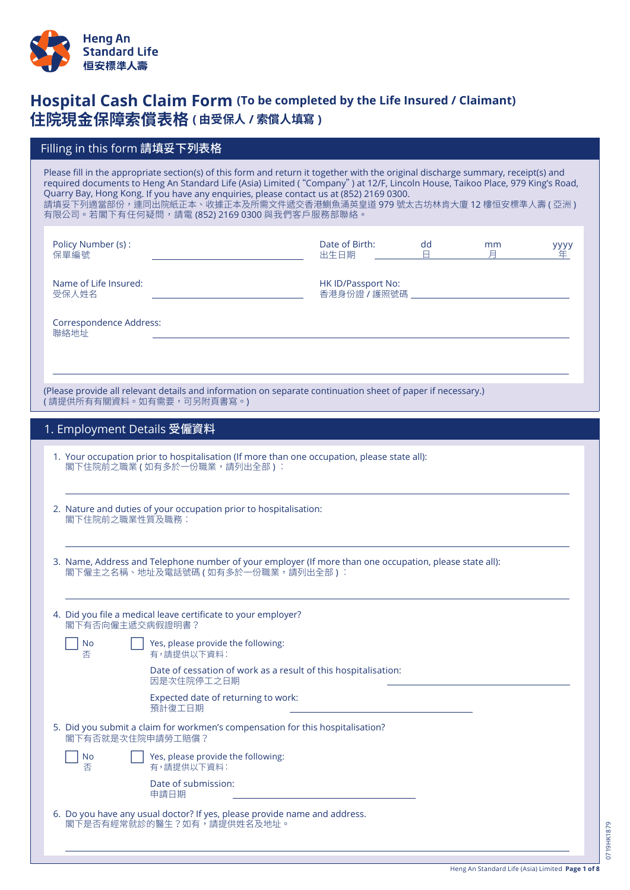

# **Hospital Cash Claim Form (To be completed by the Life Insured / Claimant) 住院現金保障索償表格 ( 由受保人 / 索償人填寫 )**

## Filling in this form 請填妥下列表格

Please fill in the appropriate section(s) of this form and return it together with the original discharge summary, receipt(s) and required documents to Heng An Standard Life (Asia) Limited "( Company") at 12/F, Lincoln House, Taikoo Place, 979 King's Road, Quarry Bay, Hong Kong. If you have any enquiries, please contact us at (852) 2169 0300. 請填妥下列適當部份,連同出院紙正本、收據正本及所需文件遞交香港鰂魚涌英皇道 979 號太古坊林肯大廈 12 樓恒安標準人壽 ( 亞洲 ) 有限公司。若閣下有任何疑問,請電 (852) 2169 0300 與我們客戶服務部聯絡。

| Policy Number (s):<br>保單編號     | Date of Birth:<br>出生日期             | dc | mm | yyyy<br>年 |
|--------------------------------|------------------------------------|----|----|-----------|
| Name of Life Insured:<br>受保人姓名 | HK ID/Passport No:<br>香港身份證 / 護照號碼 |    |    |           |

Correspondence Address: 聯絡地址

(Please provide all relevant details and information on separate continuation sheet of paper if necessary.) <sub>.</sub><br>( 請提供所有有關資料。如有需要,可另附頁書寫。)

| 1. Employment Details 受僱資料 <sup>!</sup> |  |
|-----------------------------------------|--|
|-----------------------------------------|--|

- 1. Your occupation prior to hospitalisation (If more than one occupation, please state all): 閣下住院前之職業 (如有多於一份職業,請列出全部):
- 2. Nature and duties of your occupation prior to hospitalisation: 閣下住院前之職業性質及職務︰
- 3. Name, Address and Telephone number of your employer (If more than one occupation, please state all): 閣下僱主之名稱、地址及電話號碼 (如有多於一份職業,請列出全部):

| 4. Did you file a medical leave certificate to your employer?<br>閣下有否向僱主遞交病假證明書? |                                                                                                    |  |  |
|----------------------------------------------------------------------------------|----------------------------------------------------------------------------------------------------|--|--|
| No<br>否                                                                          | Yes, please provide the following:<br>有,請提供以下資料:                                                   |  |  |
|                                                                                  | Date of cessation of work as a result of this hospitalisation:<br>因是次住院停工之日期                       |  |  |
|                                                                                  | Expected date of returning to work:<br>預計復工日期                                                      |  |  |
|                                                                                  | 5. Did you submit a claim for workmen's compensation for this hospitalisation?<br>閣下有否就是次住院申請勞工賠償? |  |  |
| No<br>否                                                                          | Yes, please provide the following:<br>有,請提供以下資料:                                                   |  |  |
|                                                                                  | Date of submission:<br>申請日期                                                                        |  |  |

6. Do you have any usual doctor? If yes, please provide name and address. 閣下是否有經常就診的醫生?如有,請提供姓名及地址。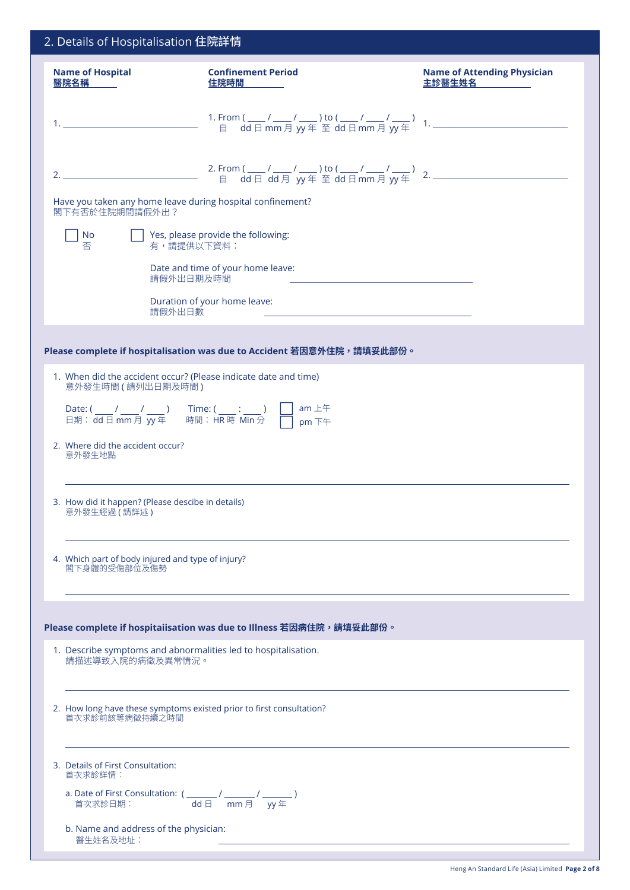| 2. Details of Hospitalisation 住院詳情                                                                                                                                                                                                                                                                                                     |                                                                                                            |                                              |  |  |
|----------------------------------------------------------------------------------------------------------------------------------------------------------------------------------------------------------------------------------------------------------------------------------------------------------------------------------------|------------------------------------------------------------------------------------------------------------|----------------------------------------------|--|--|
| <b>Name of Hospital</b><br>醫院名稱                                                                                                                                                                                                                                                                                                        | <b>Confinement Period</b><br>住院時間                                                                          | <b>Name of Attending Physician</b><br>主診醫生姓名 |  |  |
|                                                                                                                                                                                                                                                                                                                                        |                                                                                                            |                                              |  |  |
|                                                                                                                                                                                                                                                                                                                                        |                                                                                                            |                                              |  |  |
| Have you taken any home leave during hospital confinement?<br>閣下有否於住院期間請假外出?                                                                                                                                                                                                                                                           |                                                                                                            |                                              |  |  |
| No<br>否<br>有,請提供以下資料:                                                                                                                                                                                                                                                                                                                  | Yes, please provide the following:                                                                         |                                              |  |  |
| 請假外出日期及時間                                                                                                                                                                                                                                                                                                                              | Date and time of your home leave:                                                                          |                                              |  |  |
| 請假外出日數                                                                                                                                                                                                                                                                                                                                 | Duration of your home leave:<br>the control of the control of the control of the control of the control of |                                              |  |  |
|                                                                                                                                                                                                                                                                                                                                        |                                                                                                            |                                              |  |  |
|                                                                                                                                                                                                                                                                                                                                        | Please complete if hospitalisation was due to Accident 若因意外住院,請填妥此部份。                                      |                                              |  |  |
| 1. When did the accident occur? (Please indicate date and time)<br>意外發生時間 (請列出日期及時間)                                                                                                                                                                                                                                                   |                                                                                                            |                                              |  |  |
| Date: $\left(\frac{1}{\text{d}t}\right)$ $\frac{1}{\text{d}t}$ $\frac{1}{\text{d}t}$ $\frac{1}{\text{d}t}$ $\frac{1}{\text{d}t}$ $\frac{1}{\text{d}t}$ $\frac{1}{\text{d}t}$ $\frac{1}{\text{d}t}$ $\frac{1}{\text{d}t}$ $\frac{1}{\text{d}t}$ $\frac{1}{\text{d}t}$ $\frac{1}{\text{d}t}$ $\frac{1}{\text{d}t}$ $\frac{1}{\text{d}t}$ |                                                                                                            |                                              |  |  |
| 2. Where did the accident occur?<br>意外發生地點                                                                                                                                                                                                                                                                                             |                                                                                                            |                                              |  |  |
| 3. How did it happen? (Please descibe in details)<br>意外發生經過 (請詳述)                                                                                                                                                                                                                                                                      |                                                                                                            |                                              |  |  |
| 4. Which part of body injured and type of injury?<br>閣下身體的受傷部位及傷勢                                                                                                                                                                                                                                                                      |                                                                                                            |                                              |  |  |
|                                                                                                                                                                                                                                                                                                                                        |                                                                                                            |                                              |  |  |
|                                                                                                                                                                                                                                                                                                                                        | Please complete if hospitaiisation was due to Illness 若因病住院,請填妥此部份。                                        |                                              |  |  |
| 1. Describe symptoms and abnormalities led to hospitalisation.<br>請描述導致入院的病徵及異常情況。                                                                                                                                                                                                                                                     |                                                                                                            |                                              |  |  |
| 2. How long have these symptoms existed prior to first consultation?<br>首次求診前該等病徵持續之時間                                                                                                                                                                                                                                                 |                                                                                                            |                                              |  |  |
| 3. Details of First Consultation:<br>首次求診詳情:                                                                                                                                                                                                                                                                                           |                                                                                                            |                                              |  |  |
| a. Date of First Consultation: $\left(\frac{1}{\text{dd}\boxminus} 1/\text{cm}\right)$ / $\frac{1}{\text{g}\boxtimes\bigcup}$ / $\frac{1}{\text{g}\boxtimes\bigcup}$ )                                                                                                                                                                 |                                                                                                            |                                              |  |  |
| b. Name and address of the physician:<br>醫生姓名及地址:                                                                                                                                                                                                                                                                                      |                                                                                                            |                                              |  |  |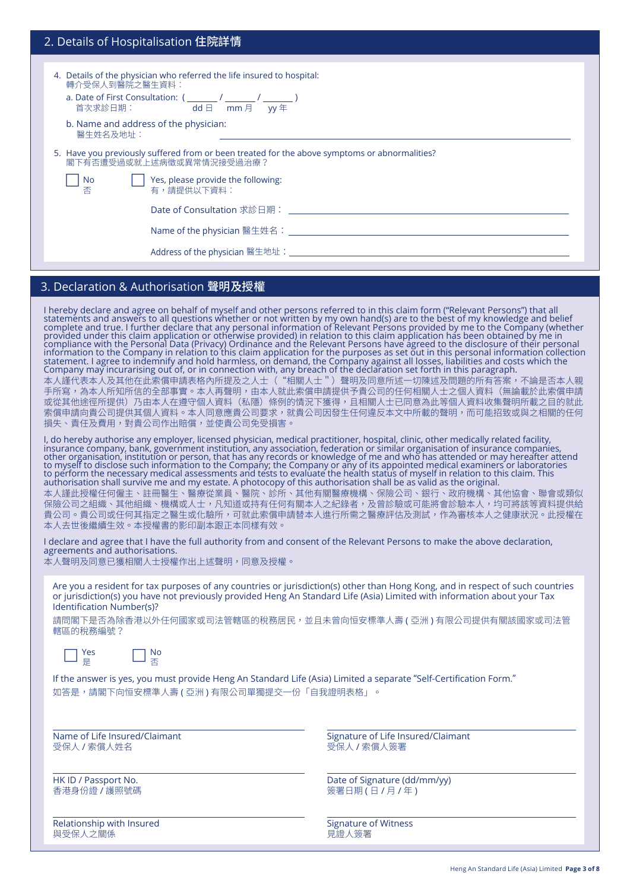## 2. Details of Hospitalisation 住院詳情

- 4. Details of the physician who referred the life insured to hospital: 轉介受保人到醫院之醫生資料
	- a. Date of First Consultation: ( Date of First Consultation: ( \_\_\_\_\_\_\_ / \_\_\_\_\_\_\_ / \_\_\_\_\_\_\_<br>首次求診日期: dd 日 mm 月 yy 年
	- b. Name and address of the physician: 醫生姓名及地址:
- 5. Have you previously suffered from or been treated for the above symptoms or abnormalities? 閣下有否遭受過或就上述病徵或異常情況接受過治療?
	- c No c Yes, please provide the following: 否 有,請提供以下資料︰

Date of Consultation 求診日期:

Name of the physician 醫生姓名:

Address of the physician 醫生地址:

## 3. Declaration & Authorisation 聲明及授權

I hereby declare and agree on behalf of myself and other persons referred to in this claim form ("Relevant Persons") that all<br>statements and answers to all questions whether or not written by my own hand(s) are to the best 本人謹代表本人及其他在此索償申請表格內所提及之人士("相關人士")聲明及同意所述一切陳述及問題的所有答案,不論是否本人親 手所寫,為本人所知所信的全部事實。本人再聲明,由本人就此索償申請提供予貴公司的任何相關人士之個人資料(無論載於此索償申請 或從其他途徑所提供)乃由本人在遵守個人資料(私隱)條例的情況下獲得,且相關人士已同意為此等個人資料收集聲明所載之目的就此 索償申請向貴公司提供其個人資料。本人同意應貴公司要求,就貴公司因發生任何違反本文中所載的聲明,而可能招致或與之相關的任何 損失、責任及費用,對貴公司作出賠償,並使貴公司免受損害。

I, do hereby authorise any employer, licensed physician, medical practitioner, hospital, clinic, other medically related facility,<br>insurance company, bank, government institution, any association, federation or similar org to myself to disclose such information to the Compañy; the Company or añy of its appointed medical examiners or laboratories<br>to perform the necessary medical assessments and tests to evaluate the health status of myself in 本人謹此授權任何僱主、註冊醫生、醫療從業員、醫院、診所、其他有關醫療機構、保險公司、銀行、政府機構、其他協會、聯會或類似 保險公司乙組織、具他組織、機構或人士,凡知道或持有仕何有關本人之紀錄者,及胃診驗或可能將曾診驗本人,均可將該等資料提供給 責公司。貴公司或仕何其指定之醫生或化驗所,可就此索償申請替本人進行所需之醫療評估及測試,作為審核本人之健康狀況。此<mark>授</mark>權在 本人去世後繼續生效。本授權書的影印副本跟正本同樣有效。

I declare and agree that I have the full authority from and consent of the Relevant Persons to make the above declaration, agreements and authorisations.

本人聲明及同意已獲相關人士授權作出上述聲明,同意及授權。

Are you a resident for tax purposes of any countries or jurisdiction(s) other than Hong Kong, and in respect of such countries or jurisdiction(s) you have not previously provided Heng An Standard Life (Asia) Limited with information about your Tax Identification Number(s)?

請問閣下是否為除香港以外任何國家或司法管轄區的稅務居民,並且未曾向恒安標準人壽 ( 亞洲 ) 有限公司提供有關該國家或司法管 轄區的稅務編號?



 $\Box$  Yes  $\Box \times$ 是 否

If the answer is yes, you must provide Heng An Standard Life (Asia) Limited a separate "Self-Certification Form." 如答是,請閣下向恒安標準人壽 ( 亞洲 ) 有限公司單獨提交一份「自我證明表格」。

受保人 / 索償人姓名 しょうしん しょうしん しんしん しゅうしょう 受保人 / 索償人簽署

Relationship with Insured The Signature of Witness Signature of Witness 與受保人之關係 おおおおお しょうしゃ おおおお しゅうしゅう しゅうしゅう しゅうしゅう しゅうしゅう

Name of Life Insured/Claimant Signature of Life Insured/Claimant

HK ID / Passport No. 2008 and 2009 and 2009 and 2009 and 2009 and 2009 and 2009 and 2009 and 2009 and 2009 and 2009 and 2009 and 2009 and 2009 and 2009 and 2009 and 2009 and 2009 and 2009 and 2009 and 2009 and 2009 and 200 香港身份證/護照號碼 ねんじゃ しんしゃ しんしん しんしん しんこう ( 食署日期 ( 日 / 月 / 年 )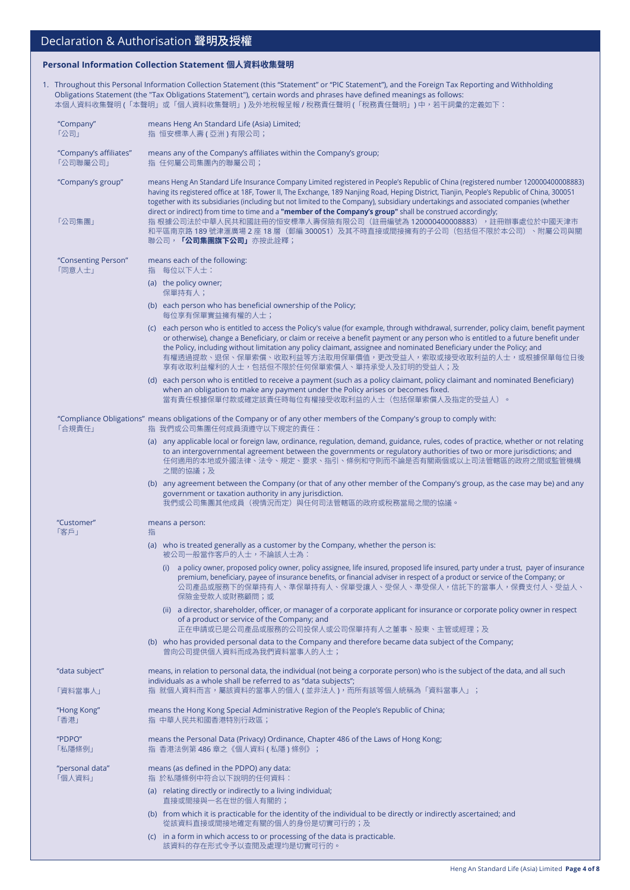### **Personal Information Collection Statement 個人資料收集聲明**

1. Throughout this Personal Information Collection Statement (this "Statement" or "PIC Statement"), and the Foreign Tax Reporting and withholding Obligations Statement (the "Tax Obligations Statement"), certain words and phrases have defined meanings as follows: 本個人資料收集聲明 (「本聲明」或「個人資料收集聲明」) 及外地稅報呈報 / 稅務責任聲明 (「稅務責任聲明」) 中,若干詞彙的定義如下:

| "Company"<br>「公司」                  | means Heng An Standard Life (Asia) Limited;<br>指 恒安標準人壽 (亞洲)有限公司;                                                                                                                                                                                                                                                                                                                                                                                                                                                                                                                                                                                                                                                |  |
|------------------------------------|------------------------------------------------------------------------------------------------------------------------------------------------------------------------------------------------------------------------------------------------------------------------------------------------------------------------------------------------------------------------------------------------------------------------------------------------------------------------------------------------------------------------------------------------------------------------------------------------------------------------------------------------------------------------------------------------------------------|--|
| "Company's affiliates"<br>「公司聯屬公司」 | means any of the Company's affiliates within the Company's group;<br>指 任何屬公司集團內的聯屬公司;                                                                                                                                                                                                                                                                                                                                                                                                                                                                                                                                                                                                                            |  |
| "Company's group"<br>「公司集團」        | means Heng An Standard Life Insurance Company Limited registered in People's Republic of China (registered number 120000400008883)<br>having its registered office at 18F, Tower II, The Exchange, 189 Nanjing Road, Heping District, Tianjin, People's Republic of China, 300051<br>together with its subsidiaries (including but not limited to the Company), subsidiary undertakings and associated companies (whether<br>direct or indirect) from time to time and a "member of the Company's group" shall be construed accordingly;<br>指 根據公司法於中華人民共和國註冊的恒安標準人壽保險有限公司(註冊編號為 120000400008883),註冊辦事處位於中國天津市<br>和平區南京路 189 號津滙廣場 2 座 18 層(郵編 300051)及其不時直接或間接擁有的子公司(包括但不限於本公司)、附屬公司與關<br>聯公司, 「公司集團旗下公司」亦按此詮釋; |  |
| "Consenting Person"<br>「同意人士」      | means each of the following:<br>指 每位以下人士:                                                                                                                                                                                                                                                                                                                                                                                                                                                                                                                                                                                                                                                                        |  |
|                                    | (a) the policy owner;<br>保單持有人;                                                                                                                                                                                                                                                                                                                                                                                                                                                                                                                                                                                                                                                                                  |  |
|                                    | (b) each person who has beneficial ownership of the Policy;<br>每位享有保單實益擁有權的人士;                                                                                                                                                                                                                                                                                                                                                                                                                                                                                                                                                                                                                                   |  |
|                                    | (c) each person who is entitled to access the Policy's value (for example, through withdrawal, surrender, policy claim, benefit payment<br>or otherwise), change a Beneficiary, or claim or receive a benefit payment or any person who is entitled to a future benefit under<br>the Policy, including without limitation any policy claimant, assignee and nominated Beneficiary under the Policy; and<br>有權透過提款、退保、保單索償、收取利益等方法取用保單價值,更改受益人,索取或接受收取利益的人士,或根據保單每位日後<br>享有收取利益權利的人士,包括但不限於任何保單索償人、單持承受人及訂明的受益人;及                                                                                                                                                                                                 |  |
|                                    | (d) each person who is entitled to receive a payment (such as a policy claimant, policy claimant and nominated Beneficiary)<br>when an obligation to make any payment under the Policy arises or becomes fixed.<br>當有責任根據保單付款或確定該責任時每位有權接受收取利益的人士(包括保單索償人及指定的受益人)。                                                                                                                                                                                                                                                                                                                                                                                                                                               |  |
| 「合規責任」                             | "Compliance Obligations" means obligations of the Company or of any other members of the Company's group to comply with:<br>指 我們或公司集團任何成員須遵守以下規定的責任:                                                                                                                                                                                                                                                                                                                                                                                                                                                                                                                                                             |  |
|                                    | (a) any applicable local or foreign law, ordinance, regulation, demand, guidance, rules, codes of practice, whether or not relating<br>to an intergovernmental agreement between the governments or regulatory authorities of two or more jurisdictions; and<br>任何適用的本地或外國法律、法令、規定、要求、指引、條例和守則而不論是否有關兩個或以上司法管轄區的政府之間或監管機構<br>之間的協議;及                                                                                                                                                                                                                                                                                                                                                                             |  |
|                                    | (b) any agreement between the Company (or that of any other member of the Company's group, as the case may be) and any<br>government or taxation authority in any jurisdiction.<br>我們或公司集團其他成員(視情況而定)與任何司法管轄區的政府或稅務當局之間的協議。                                                                                                                                                                                                                                                                                                                                                                                                                                                                                      |  |
| "Customer"<br>「客戶」                 | means a person:<br>指                                                                                                                                                                                                                                                                                                                                                                                                                                                                                                                                                                                                                                                                                             |  |
|                                    | (a) who is treated generally as a customer by the Company, whether the person is:<br>被公司一般當作客戶的人士,不論該人士為:                                                                                                                                                                                                                                                                                                                                                                                                                                                                                                                                                                                                        |  |
|                                    | a policy owner, proposed policy owner, policy assignee, life insured, proposed life insured, party under a trust, payer of insurance<br>(i)<br>premium, beneficiary, payee of insurance benefits, or financial adviser in respect of a product or service of the Company; or<br>公司產品或服務下的保單持有人、準保單持有人、保單受讓人、受保人、準受保人,信託下的當事人,保費支付人、受益人、<br>保險金受款人或財務顧問;或                                                                                                                                                                                                                                                                                                                                                         |  |
|                                    | (ii) a director, shareholder, officer, or manager of a corporate applicant for insurance or corporate policy owner in respect<br>of a product or service of the Company; and<br>正在申請或已是公司產品或服務的公司投保人或公司保單持有人之董事、股東、主管或經理;及                                                                                                                                                                                                                                                                                                                                                                                                                                                                                       |  |
|                                    | (b) who has provided personal data to the Company and therefore became data subject of the Company;<br>曾向公司提供個人資料而成為我們資料當事人的人士;                                                                                                                                                                                                                                                                                                                                                                                                                                                                                                                                                                                  |  |
| "data subject"                     | means, in relation to personal data, the individual (not being a corporate person) who is the subject of the data, and all such                                                                                                                                                                                                                                                                                                                                                                                                                                                                                                                                                                                  |  |
| 「資料當事人」                            | individuals as a whole shall be referred to as "data subjects";<br>指 就個人資料而言,屬該資料的當事人的個人(並非法人),而所有該等個人統稱為「資料當事人」;                                                                                                                                                                                                                                                                                                                                                                                                                                                                                                                                                                                                |  |
| "Hong Kong"<br>「香港」                | means the Hong Kong Special Administrative Region of the People's Republic of China;<br>指 中華人民共和國香港特別行政區;                                                                                                                                                                                                                                                                                                                                                                                                                                                                                                                                                                                                        |  |
| "PDPO"<br>「私隱條例」                   | means the Personal Data (Privacy) Ordinance, Chapter 486 of the Laws of Hong Kong;<br>指 香港法例第 486 章之《個人資料(私隱)條例》;                                                                                                                                                                                                                                                                                                                                                                                                                                                                                                                                                                                                |  |
| "personal data"<br>「個人資料」          | means (as defined in the PDPO) any data:<br>指 於私隱條例中符合以下說明的任何資料:                                                                                                                                                                                                                                                                                                                                                                                                                                                                                                                                                                                                                                                 |  |
|                                    | (a) relating directly or indirectly to a living individual;<br>直接或間接與一名在世的個人有關的;                                                                                                                                                                                                                                                                                                                                                                                                                                                                                                                                                                                                                                 |  |
|                                    | (b) from which it is practicable for the identity of the individual to be directly or indirectly ascertained; and<br>從該資料直接或間接地確定有關的個人的身份是切實可行的;及                                                                                                                                                                                                                                                                                                                                                                                                                                                                                                                                                                |  |
|                                    | (c) in a form in which access to or processing of the data is practicable.<br>該資料的存在形式令予以查閱及處理均是切實可行的。                                                                                                                                                                                                                                                                                                                                                                                                                                                                                                                                                                                                           |  |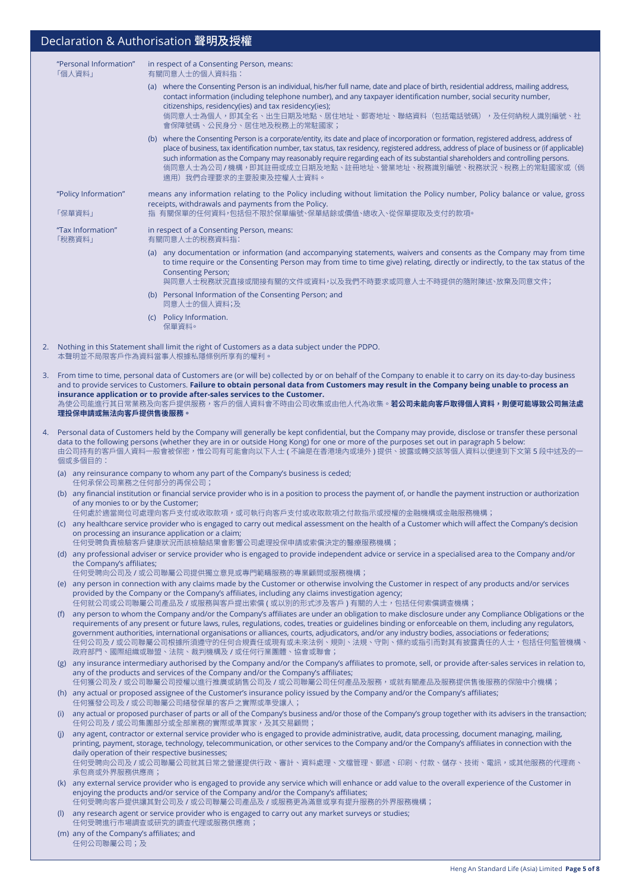| "Personal Information"<br>「個人資料」                                                          |                                                                                                                                                                                                                                                                                                                                                                                                                                                                                                                                                                                            |                                                                                                                                                                                                                                                                                                                                                                                                                                                                                                | in respect of a Consenting Person, means:<br>有關同意人士的個人資料指: |                                                                                                                                                                                                                                                                                                                                                                                                                                                                                                                     |  |  |
|-------------------------------------------------------------------------------------------|--------------------------------------------------------------------------------------------------------------------------------------------------------------------------------------------------------------------------------------------------------------------------------------------------------------------------------------------------------------------------------------------------------------------------------------------------------------------------------------------------------------------------------------------------------------------------------------------|------------------------------------------------------------------------------------------------------------------------------------------------------------------------------------------------------------------------------------------------------------------------------------------------------------------------------------------------------------------------------------------------------------------------------------------------------------------------------------------------|------------------------------------------------------------|---------------------------------------------------------------------------------------------------------------------------------------------------------------------------------------------------------------------------------------------------------------------------------------------------------------------------------------------------------------------------------------------------------------------------------------------------------------------------------------------------------------------|--|--|
|                                                                                           |                                                                                                                                                                                                                                                                                                                                                                                                                                                                                                                                                                                            |                                                                                                                                                                                                                                                                                                                                                                                                                                                                                                |                                                            | (a) where the Consenting Person is an individual, his/her full name, date and place of birth, residential address, mailing address,<br>contact information (including telephone number), and any taxpayer identification number, social security number,<br>citizenships, residency(ies) and tax residency(ies);<br>倘同意人士為個人,即其全名、出生日期及地點、居住地址、郵寄地址、聯絡資料(包括電話號碼),及任何納稅人識別編號、社<br>會保障號碼、公民身分、居住地及稅務上的常駐國家;                                                                                                           |  |  |
|                                                                                           |                                                                                                                                                                                                                                                                                                                                                                                                                                                                                                                                                                                            |                                                                                                                                                                                                                                                                                                                                                                                                                                                                                                |                                                            | (b) where the Consenting Person is a corporate/entity, its date and place of incorporation or formation, registered address, address of<br>place of business, tax identification number, tax status, tax residency, registered address, address of place of business or (if applicable)<br>such information as the Company may reasonably require regarding each of its substantial shareholders and controlling persons.<br>倘同意人士為公司 / 機構,即其註冊或成立日期及地點、註冊地址、營業地址、稅務識別編號、稅務狀況、稅務上的常駐國家或(倘<br>適用)我們合理要求的主要股東及控權人士資料。 |  |  |
|                                                                                           |                                                                                                                                                                                                                                                                                                                                                                                                                                                                                                                                                                                            | "Policy Information"                                                                                                                                                                                                                                                                                                                                                                                                                                                                           |                                                            | means any information relating to the Policy including without limitation the Policy number, Policy balance or value, gross                                                                                                                                                                                                                                                                                                                                                                                         |  |  |
|                                                                                           |                                                                                                                                                                                                                                                                                                                                                                                                                                                                                                                                                                                            | 「保單資料」                                                                                                                                                                                                                                                                                                                                                                                                                                                                                         |                                                            | receipts, withdrawals and payments from the Policy.<br>指 有關保單的任何資料,包括但不限於保單編號、保單結餘或價值、總收入、從保單提取及支付的款項。                                                                                                                                                                                                                                                                                                                                                                                                              |  |  |
| "Tax Information"<br>in respect of a Consenting Person, means:<br>「稅務資料」<br>有關同意人士的稅務資料指: |                                                                                                                                                                                                                                                                                                                                                                                                                                                                                                                                                                                            |                                                                                                                                                                                                                                                                                                                                                                                                                                                                                                |                                                            |                                                                                                                                                                                                                                                                                                                                                                                                                                                                                                                     |  |  |
|                                                                                           |                                                                                                                                                                                                                                                                                                                                                                                                                                                                                                                                                                                            |                                                                                                                                                                                                                                                                                                                                                                                                                                                                                                |                                                            | (a) any documentation or information (and accompanying statements, waivers and consents as the Company may from time<br>to time require or the Consenting Person may from time to time give) relating, directly or indirectly, to the tax status of the<br><b>Consenting Person;</b><br>與同意人士稅務狀況直接或間接有關的文件或資料,以及我們不時要求或同意人士不時提供的隨附陳述、放棄及同意文件;                                                                                                                                                                      |  |  |
|                                                                                           |                                                                                                                                                                                                                                                                                                                                                                                                                                                                                                                                                                                            |                                                                                                                                                                                                                                                                                                                                                                                                                                                                                                |                                                            | (b) Personal Information of the Consenting Person; and<br>同意人士的個人資料;及                                                                                                                                                                                                                                                                                                                                                                                                                                               |  |  |
|                                                                                           |                                                                                                                                                                                                                                                                                                                                                                                                                                                                                                                                                                                            |                                                                                                                                                                                                                                                                                                                                                                                                                                                                                                |                                                            | (c) Policy Information.                                                                                                                                                                                                                                                                                                                                                                                                                                                                                             |  |  |
|                                                                                           |                                                                                                                                                                                                                                                                                                                                                                                                                                                                                                                                                                                            |                                                                                                                                                                                                                                                                                                                                                                                                                                                                                                |                                                            | 保單資料。                                                                                                                                                                                                                                                                                                                                                                                                                                                                                                               |  |  |
|                                                                                           |                                                                                                                                                                                                                                                                                                                                                                                                                                                                                                                                                                                            |                                                                                                                                                                                                                                                                                                                                                                                                                                                                                                |                                                            | 2. Nothing in this Statement shall limit the right of Customers as a data subject under the PDPO.<br>本聲明並不局限客戶作為資料當事人根據私隱條例所享有的權利。                                                                                                                                                                                                                                                                                                                                                                                  |  |  |
|                                                                                           |                                                                                                                                                                                                                                                                                                                                                                                                                                                                                                                                                                                            | 3. From time to time, personal data of Customers are (or will be) collected by or on behalf of the Company to enable it to carry on its day-to-day business<br>and to provide services to Customers. Failure to obtain personal data from Customers may result in the Company being unable to process an<br>insurance application or to provide after-sales services to the Customer.<br>為使公司能進行其日常業務及向客戶提供服務,客戶的個人資料會不時由公司收集或由他人代為收集。 <b>若公司未能向客戶取得個人資料,則便可能導致公司無法處</b><br>理投保申請或無法向客戶提供售後服務。 |                                                            |                                                                                                                                                                                                                                                                                                                                                                                                                                                                                                                     |  |  |
| 4.                                                                                        |                                                                                                                                                                                                                                                                                                                                                                                                                                                                                                                                                                                            |                                                                                                                                                                                                                                                                                                                                                                                                                                                                                                |                                                            | Personal data of Customers held by the Company will generally be kept confidential, but the Company may provide, disclose or transfer these personal                                                                                                                                                                                                                                                                                                                                                                |  |  |
|                                                                                           |                                                                                                                                                                                                                                                                                                                                                                                                                                                                                                                                                                                            | data to the following persons (whether they are in or outside Hong Kong) for one or more of the purposes set out in paragraph 5 below:<br>由公司持有的客戶個人資料一般會被保密,惟公司有可能會向以下人士 ( 不論是在香港境內或境外 ) 提供、披露或轉交該等個人資料以便達到下文第 5 段中述及的一<br>個或多個目的:                                                                                                                                                                                                                                                            |                                                            |                                                                                                                                                                                                                                                                                                                                                                                                                                                                                                                     |  |  |
|                                                                                           |                                                                                                                                                                                                                                                                                                                                                                                                                                                                                                                                                                                            | 任何承保公司業務之任何部分的再保公司;                                                                                                                                                                                                                                                                                                                                                                                                                                                                            |                                                            | (a) any reinsurance company to whom any part of the Company's business is ceded;                                                                                                                                                                                                                                                                                                                                                                                                                                    |  |  |
|                                                                                           |                                                                                                                                                                                                                                                                                                                                                                                                                                                                                                                                                                                            | (b) any financial institution or financial service provider who is in a position to process the payment of, or handle the payment instruction or authorization<br>of any monies to or by the Customer;                                                                                                                                                                                                                                                                                         |                                                            |                                                                                                                                                                                                                                                                                                                                                                                                                                                                                                                     |  |  |
|                                                                                           |                                                                                                                                                                                                                                                                                                                                                                                                                                                                                                                                                                                            | 任何處於適當崗位可處理向客戶支付或收取款項,或可執行向客戶支付或收取款項之付款指示或授權的金融機構或金融服務機構;<br>(c) any healthcare service provider who is engaged to carry out medical assessment on the health of a Customer which will affect the Company's decision<br>on processing an insurance application or a claim;                                                                                                                                                                                                                     |                                                            |                                                                                                                                                                                                                                                                                                                                                                                                                                                                                                                     |  |  |
|                                                                                           |                                                                                                                                                                                                                                                                                                                                                                                                                                                                                                                                                                                            |                                                                                                                                                                                                                                                                                                                                                                                                                                                                                                |                                                            | 任何受聘負責檢驗客戶健康狀況而該檢驗結果會影響公司處理投保申請或索償決定的醫療服務機構;<br>(d) any professional adviser or service provider who is engaged to provide independent advice or service in a specialised area to the Company and/or                                                                                                                                                                                                                                                                                                                |  |  |
|                                                                                           |                                                                                                                                                                                                                                                                                                                                                                                                                                                                                                                                                                                            | the Company's affiliates;                                                                                                                                                                                                                                                                                                                                                                                                                                                                      |                                                            | 任何受聘向公司及 / 或公司聯屬公司提供獨立意見或專門範疇服務的專業顧問或服務機構;                                                                                                                                                                                                                                                                                                                                                                                                                                                                          |  |  |
|                                                                                           |                                                                                                                                                                                                                                                                                                                                                                                                                                                                                                                                                                                            | (e) any person in connection with any claims made by the Customer or otherwise involving the Customer in respect of any products and/or services<br>provided by the Company or the Company's affiliates, including any claims investigation agency;<br>任何就公司或公司聯屬公司產品及 / 或服務與客戶提出索償 ( 或以別的形式涉及客戶 ) 有關的人士,包括任何索償調查機構;                                                                                                                                                                           |                                                            |                                                                                                                                                                                                                                                                                                                                                                                                                                                                                                                     |  |  |
|                                                                                           | (f) any person to whom the Company and/or the Company's affiliates are under an obligation to make disclosure under any Compliance Obligations or the<br>requirements of any present or future laws, rules, regulations, codes, treaties or guidelines binding or enforceable on them, including any regulators,<br>government authorities, international organisations or alliances, courts, adjudicators, and/or any industry bodies, associations or federations;<br>任何公司及 / 或公司聯屬公司根據所須遵守的任何合規責任或現有或未來法例、規則、法規、守則、條約或指引而對其有披露責任的人士,包括任何監管機構、<br>政府部門、國際組織或聯盟、法院、裁判機構及 / 或任何行業團體、協會或聯會; |                                                                                                                                                                                                                                                                                                                                                                                                                                                                                                |                                                            |                                                                                                                                                                                                                                                                                                                                                                                                                                                                                                                     |  |  |
|                                                                                           |                                                                                                                                                                                                                                                                                                                                                                                                                                                                                                                                                                                            |                                                                                                                                                                                                                                                                                                                                                                                                                                                                                                |                                                            | (g) any insurance intermediary authorised by the Company and/or the Company's affiliates to promote, sell, or provide after-sales services in relation to,<br>any of the products and services of the Company and/or the Company's affiliates;<br>任何獲公司及 / 或公司聯屬公司授權以進行推廣或銷售公司及 / 或公司聯屬公司任何產品及服務,或就有關產品及服務提供售後服務的保險中介機構;                                                                                                                                                                                            |  |  |
|                                                                                           |                                                                                                                                                                                                                                                                                                                                                                                                                                                                                                                                                                                            |                                                                                                                                                                                                                                                                                                                                                                                                                                                                                                |                                                            | (h) any actual or proposed assignee of the Customer's insurance policy issued by the Company and/or the Company's affiliates;<br>任何獲發公司及 / 或公司聯屬公司繕發保單的客戶之實際或準受讓人;                                                                                                                                                                                                                                                                                                                                                  |  |  |
|                                                                                           | (i)                                                                                                                                                                                                                                                                                                                                                                                                                                                                                                                                                                                        | any actual or proposed purchaser of parts or all of the Company's business and/or those of the Company's group together with its advisers in the transaction;<br>任何公司及 / 或公司集團部分或全部業務的實際或準買家,及其交易顧問;                                                                                                                                                                                                                                                                                           |                                                            |                                                                                                                                                                                                                                                                                                                                                                                                                                                                                                                     |  |  |
|                                                                                           | (i)                                                                                                                                                                                                                                                                                                                                                                                                                                                                                                                                                                                        | any agent, contractor or external service provider who is engaged to provide administrative, audit, data processing, document managing, mailing,<br>printing, payment, storage, technology, telecommunication, or other services to the Company and/or the Company's affiliates in connection with the<br>daily operation of their respective businesses;<br>任何受聘向公司及 / 或公司聯屬公司就其日常之營運提供行政、審計、資料處理、文檔管理、郵遞、印刷、付款、儲存、技術、電訊,或其他服務的代理商、<br>承包商或外界服務供應商;                                           |                                                            |                                                                                                                                                                                                                                                                                                                                                                                                                                                                                                                     |  |  |
|                                                                                           |                                                                                                                                                                                                                                                                                                                                                                                                                                                                                                                                                                                            |                                                                                                                                                                                                                                                                                                                                                                                                                                                                                                |                                                            | (k) any external service provider who is engaged to provide any service which will enhance or add value to the overall experience of the Customer in<br>enjoying the products and/or service of the Company and/or the Company's affiliates;<br>任何受聘向客戶提供讓其對公司及 / 或公司聯屬公司產品及 / 或服務更為滿意或享有提升服務的外界服務機構;                                                                                                                                                                                                               |  |  |
|                                                                                           | (I)                                                                                                                                                                                                                                                                                                                                                                                                                                                                                                                                                                                        |                                                                                                                                                                                                                                                                                                                                                                                                                                                                                                |                                                            | any research agent or service provider who is engaged to carry out any market surveys or studies;<br>任何受聘進行市場調查或研究的調查代理或服務供應商;                                                                                                                                                                                                                                                                                                                                                                                      |  |  |
|                                                                                           |                                                                                                                                                                                                                                                                                                                                                                                                                                                                                                                                                                                            | (m) any of the Company's affiliates; and<br>任何公司聯屬公司;及                                                                                                                                                                                                                                                                                                                                                                                                                                         |                                                            |                                                                                                                                                                                                                                                                                                                                                                                                                                                                                                                     |  |  |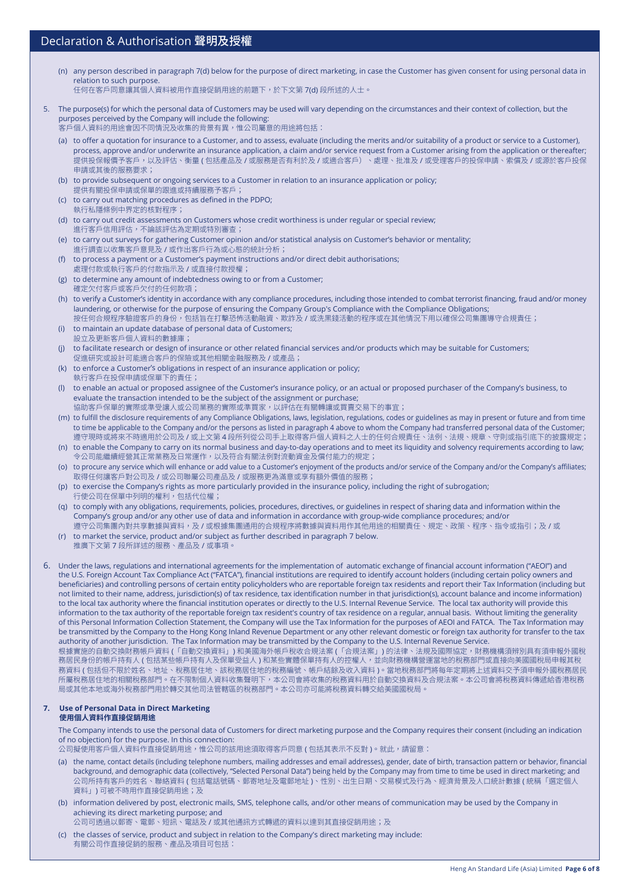- (n) any person described in paragraph 7(d) below for the purpose of direct marketing, in case the Customer has given consent for using personal data in relation to such purpose.
	- 任何在客戶同意讓其個人資料被用作直接促銷用途的前題下,於下文第 7(d) 段所述的人士。
- 5. The purpose(s) for which the personal data of Customers may be used will vary depending on the circumstances and their context of collection, but the purposes perceived by the Company will include the following: 客戶個人資料的用途會因不同情況及收集的背景有異,惟公司屬意的用途將包括:
	- (a) to offer a quotation for insurance to a Customer, and to assess, evaluate (including the merits and/or suitability of a product or service to a Customer), process, approve and/or underwrite an insurance application, a claim and/or service request from a Customer arising from the application or thereafter; 提供投保報價予客戶,以及評估、衡量 ( 包括產品及 / 或服務是否有利於及 / 或適合客戶)、處理、批准及 / 或受理客戶的投保申請、索償及 / 或源於客戶投保 申請或其後的服務要求;
	- (b) to provide subsequent or ongoing services to a Customer in relation to an insurance application or policy; 提供有關投保申請或保單的跟進或持續服務予客戶;
	- (c) to carry out matching procedures as defined in the PDPO; 執行私隱條例中界定的核對程序;
	- (d) to carry out credit assessments on Customers whose credit worthiness is under regular or special review; 進行客戶信用評估,不論該評估為定期或特別審查;
	- (e) to carry out surveys for gathering Customer opinion and/or statistical analysis on Customer's behavior or mentality; 進行調查以收集客戶意見及 / 或作出客戶行為或心態的統計分析;
	- (f) to process a payment or a Customer's payment instructions and/or direct debit authorisations; 處理付款或執行客戶的付款指示及 / 或直接付款授權;
	- (g) to determine any amount of indebtedness owing to or from a Customer; 確定欠付客戶或客戶欠付的任何款項;
	- (h) to verify a Customer's identity in accordance with any compliance procedures, including those intended to combat terrorist financing, fraud and/or money laundering, or otherwise for the purpose of ensuring the Company Group's Compliance with the Compliance Obligations; 按任何合規程序驗證客戶的身份,包括旨在打擊恐怖活動融資、欺詐及 / 或洗黑錢活動的程序或在其他情況下用以確保公司集團導守合規責任;
	- (i) to maintain an update database of personal data of Customers;
	- 設立及更新客戶個人資料的數據庫; (j) to facilitate research or design of insurance or other related financial services and/or products which may be suitable for Customers; 促進研究或設計可能適合客戶的保險或其他相關金融服務及 / 或產品;
	- (k) to enforce a Customer's obligations in respect of an insurance application or policy; 執行客戶在投保申請或保單下的責任;
	- (l) to enable an actual or proposed assignee of the Customer's insurance policy, or an actual or proposed purchaser of the Company's business, to evaluate the transaction intended to be the subject of the assignment or purchase;
		- 協助客戶保單的實際或準受讓人或公司業務的實際或準買家,以評估在有關轉讓或買賣交易下的事宜;
	- (m) to fulfill the disclosure requirements of any Compliance Obligations, laws, legislation, regulations, codes or guidelines as may in present or future and from time to time be applicable to the Company and/or the persons as listed in paragraph 4 above to whom the Company had transferred personal data of the Customer; 遵守現時或將來不時適用於公司及 / 或上文第 4 段所列從公司手上取得客戶個人資料之人士的任何合規責任、法例、法規、規章、守則或指引底下的披露規定;
	- (n) to enable the Company to carry on its normal business and day-to-day operations and to meet its liquidity and solvency requirements according to law; 。<br>令公司能繼續經營其正常業務及日常運作,以及符合有關法例對流動資金及償付能力的規定;
	- (o) to procure any service which will enhance or add value to a Customer's enjoyment of the products and/or service of the Company and/or the Company's affiliates; 取得任何讓客戶對公司及 / 或公司聯屬公司產品及 / 或服務更為滿意或享有額外價值的服務;
	- (p) to exercise the Company's rights as more particularly provided in the insurance policy, including the right of subrogation; 行使公司在保單中列明的權利,包括代位權;
	- (q) to comply with any obligations, requirements, policies, procedures, directives, or guidelines in respect of sharing data and information within the Company's group and/or any other use of data and information in accordance with group-wide compliance procedures; and/or 遵守公司集團內對共享數據與資料,及 / 或根據集團通用的合規程序將數據與資料用作其他用途的相關責任、規定、政策、程序、指令或指引;及 / 或
	- (r) to market the service, product and/or subject as further described in paragraph 7 below. 推廣下文第 7 段所詳述的服務、產品及 / 或事項。

6. Under the laws, regulations and international agreements for the implementation of automatic exchange of financial account information ("AEOI") and the U.S. Foreign Account Tax Compliance Act ("FATCA"), financial institutions are required to identify account holders (including certain policy owners and beneficiaries) and controlling persons of certain entity policyholders who are reportable foreign tax residents and report their Tax Information (including but not limited to their name, address, jurisdiction(s) of tax residence, tax identification number in that jurisdiction(s), account balance and income information) to the local tax authority where the financial institution operates or directly to the U.S. Internal Revenue Service. The local tax authority will provide this information to the tax authority of the reportable foreign tax resident's country of tax residence on a regular, annual basis. without limiting the generality of this Personal Information Collection Statement, the Company will use the Tax Information for the purposes of AEOI and FATCA. The Tax Information may be transmitted by the Company to the Hong Kong Inland Revenue Department or any other relevant domestic or foreign tax authority for transfer to the tax authority of another jurisdiction. The Tax Information may be transmitted by the Company to the U.S. Internal Revenue Service. 根據實施的自動交換財務帳戶資料 (「自動交換資料」) 和美國海外帳戶稅收合規法案 (「合規法案」) 的法律、法規及國際協定,財務機構須辨別具有須申報外國稅 務居民身份的帳戶持有人 ( 包括某些帳戶持有人及保單受益人 ) 和某些實體保單持有人的控權人,並向財務機構營運當地的稅務部門或直接向美國國稅局申報其稅 務資料 ( 包括但不限於姓名、地址、稅務居住地、該稅務居住地的稅務編號、帳戶結餘及收入資料 )。當地稅務部門將每年定期將上述資料交予須申報外國稅務居民

所屬稅務居住地的相關稅務部門。在不限制個人資料收集聲明下,本公司會將收集的稅務資料用於自動交換資料及合規法案。本公司會將稅務資料傳遞給香港稅務 局或其他本地或海外稅務部門用於轉交其他司法管轄區的稅務部門。本公司亦可能將稅務資料轉交給美國國稅局。

#### **7. Use of Personal Data in Direct Marketing 使用個人資料作直接促銷用途**

The Company intends to use the personal data of Customers for direct marketing purpose and the Company requires their consent (including an indication of no objection) for the purpose. In this connection:

公司擬使用客戶個人資料作直接促銷用途,惟公司的該用途須取得客戶同意 (包括其表示不反對)。就此,請留意:

- (a) the name, contact details (including telephone numbers, mailing addresses and email addresses), gender, date of birth, transaction pattern or behavior, financial background, and demographic data (collectively, "Selected Personal Data") being held by the Company may from time to time be used in direct marketing; and 公司所持有客戶的姓名、聯絡資料 ( 包括電話號碼、郵寄地址及電郵地址 )、性別、出生日期、交易模式及行為、經濟背景及人口統計數據 ( 統稱「選定個人 資料」) 可被不時用作直接促銷用途;及
- (b) information delivered by post, electronic mails, SMS, telephone calls, and/or other means of communication may be used by the Company in achieving its direct marketing purpose; and
- 公司可透過以郵寄、電郵、短訊、電話及/或其他通訊方式轉遞的資料以達到其直接促銷用途;及
- (c) the classes of service, product and subject in relation to the Company's direct marketing may include: 有關公司作直接促銷的服務、產品及項目可包括: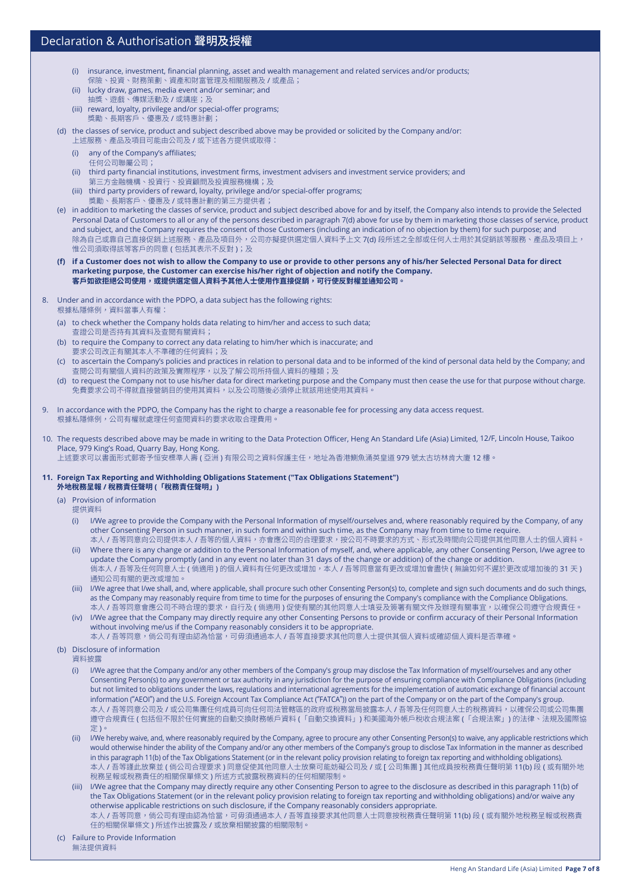- (i) insurance, investment, financial planning, asset and wealth management and related services and/or products;
- 保險、投資、財務策劃、資產和財富管理及相關服務及 / 或產品;
- (ii) lucky draw, games, media event and/or seminar; and 抽獎、遊戲、傳媒活動及 / 或講座;及
- (iii) reward, loyalty, privilege and/or special-offer programs; 獎勵、長期客戶、優惠及 / 或特惠計劃;
- (d) the classes of service, product and subject described above may be provided or solicited by the Company and/or: 上述服務、產品及項目可能由公司及 / 或下述各方提供或取得:
	- (i) any of the Company's affiliates;
	- 任何公司聯屬公司;
	- (ii) third party financial institutions, investment firms, investment advisers and investment service providers; and 第三方金融機構、投資行、投資顧問及投資服務機構;及
	- (iii) third party providers of reward, loyalty, privilege and/or special-offer programs; 獎勵、長期客戶、優惠及 / 或特惠計劃的第三方提供者;
- (e) in addition to marketing the classes of service, product and subject described above for and by itself, the Company also intends to provide the Selected Personal Data of Customers to all or any of the persons described in paragraph 7(d) above for use by them in marketing those classes of service, product and subject, and the Company requires the consent of those Customers (including an indication of no objection by them) for such purpose; and 除為自己或靠自己直接促銷上述服務、產品及項目外,公司亦擬提供選定個人資料予上文 7(d) 段所述之全部或任何人士用於其促銷該等服務、產品及項目上, 惟公司須取得該等客戶的同意 (包括其表示不反對);及
- **(f) if a Customer does not wish to allow the Company to use or provide to other persons any of his/her Selected Personal Data for direct marketing purpose, the Customer can exercise his/her right of objection and notify the Company. 客戶如欲拒絕公司使用,或提供選定個人資料予其他人士使用作直接促銷,可行使反對權並通知公司。**
- 8. Under and in accordance with the PDPO, a data subject has the following rights: 根據私隱條例,資料當事人有權:
	- (a) to check whether the Company holds data relating to him/her and access to such data; 查證公司是否持有其資料及查閱有關資料;
	- (b) to require the Company to correct any data relating to him/her which is inaccurate; and 要求公司改正有關其本人不準確的任何資料;及
	- (c) to ascertain the Company's policies and practices in relation to personal data and to be informed of the kind of personal data held by the Company; and 查閱公司有關個人資料的政策及實際程序,以及了解公司所持個人資料的種類;及
	- (d) to request the Company not to use his/her data for direct marketing purpose and the Company must then cease the use for that purpose without charge. 免費要求公司不得就直接營銷目的使用其資料,以及公司隨後必須停止就該用途使用其資料
- 9. In accordance with the PDPO, the Company has the right to charge a reasonable fee for processing any data access request. 根據私隱條例,公司有權就處理任何查閱資料的要求收取合理費用。
- 10. The requests described above may be made in writing to the Data Protection Officer, Heng An Standard Life (Asia) Limited, 12/F, Lincoln House, Taikoo Place, 979 King's Road, Quarry Bay, Hong Kong. 上述要求可以書面形式郵寄予恒安標準人壽 ( 亞洲 ) 有限公司之資料保護主任,地址為香港鰂魚涌英皇道 979 號太古坊林肯大廈 12 樓。

#### **11. Foreign Tax Reporting and Withholding Obligations Statement ("Tax Obligations Statement") 外地稅務呈報 / 稅務責任聲明 (「稅務責任聲明」)**

- (a) Provision of information
	- 提供資料
	- (i) I/we agree to provide the Company with the Personal Information of myself/ourselves and, where reasonably required by the Company, of any other Consenting Person in such manner, in such form and within such time, as the Company may from time to time require. 本人 / 吾等同意向公司提供本人 / 吾等的個人資料,亦會應公司的合理要求,按公司不時要求的方式、形式及時間向公司提供其他同意人士的個人資料。
	- (ii) where there is any change or addition to the Personal Information of myself, and, where applicable, any other Consenting Person, I/we agree to update the Company promptly (and in any event no later than 31 days of the change or addition) of the change or addition. 倘本人 / 吾等及任何同意人士 ( 倘適用 ) 的個人資料有任何更改或增加,本人 / 吾等同意當有更改或增加會盡快 ( 無論如何不遲於更改或增加後的 31 天 ) 通知公司有關的更改或增加。
	- (iii) I/we agree that I/we shall, and, where applicable, shall procure such other Consenting Person(s) to, complete and sign such documents and do such things, as the Company may reasonably require from time to time for the purposes of ensuring the Company's compliance with the Compliance Obligations. 本人 / 吾等同意會應公司不時合理的要求,自行及 ( 倘適用 ) 促使有關的其他同意人士填妥及簽署有關文件及辦理有關事宜,以確保公司遵守合規責任。
	- (iv) I/we agree that the Company may directly require any other Consenting Persons to provide or confirm accuracy of their Personal Information without involving me/us if the Company reasonably considers it to be appropriate.

本人 / 吾等同意,倘公司有理由認為恰當,可毋須通過本人 / 吾等直接要求其他同意人士提供其個人資料或確認個人資料是否準確。

(b) Disclosure of information

資料披露

- (i) I/we agree that the Company and/or any other members of the Company's group may disclose the Tax Information of myself/ourselves and any other Consenting Person(s) to any government or tax authority in any jurisdiction for the purpose of ensuring compliance with Compliance Obligations (including but not limited to obligations under the laws, regulations and international agreements for the implementation of automatic exchange of financial account information ("AEOI") and the U.S. Foreign Account Tax Compliance Act ("FATCA")) on the part of the Company or on the part of the Company's group. 本人 / 吾等同意公司及 / 或公司集團任何成員可向任何司法管轄區的政府或稅務當局披露本人 / 吾等及任何同意人士的稅務資料,以確保公司或公司集團 遵守合規責任 ( 包括但不限於任何實施的自動交換財務帳戶資料 (「自動交換資料」) 和美國海外帳戶稅收合規法案 (「合規法案」) 的法律、法規及國際協 定 )。
- (ii) I/we hereby waive, and, where reasonably required by the Company, agree to procure any other Consenting Person(s) to waive, any applicable restrictions which would otherwise hinder the ability of the Company and/or any other members of the Company's group to disclose Tax Information in the manner as described in this paragraph 11(b) of the Tax Obligations Statement (or in the relevant policy provision relating to foreign tax reporting and withholding obligations). 本人 / 吾等謹此放棄並 ( 倘公司合理要求 ) 同意促使其他同意人士放棄可能妨礙公司及 / 或 [ 公司集團 ] 其他成員按稅務責任聲明第 11(b) 段 ( 或有關外地 稅務呈報或稅務責任的相關保單條文 ) 所述方式披露稅務資料的任何相關限制。
- (iii) I/we agree that the Company may directly require any other Consenting Person to agree to the disclosure as described in this paragraph 11(b) of the Tax Obligations Statement (or in the relevant policy provision relating to foreign tax reporting and withholding obligations) and/or waive any otherwise applicable restrictions on such disclosure, if the Company reasonably considers appropriate. 本人 / 吾等同意,倘公司有理由認為恰當,可毋須通過本人 / 吾等直接要求其他同意人士同意按稅務責任聲明第 11(b) 段 ( 或有關外地稅務呈報或稅務責 任的相關保單條文 ) 所述作出披露及 / 或放棄相關披露的相關限制。